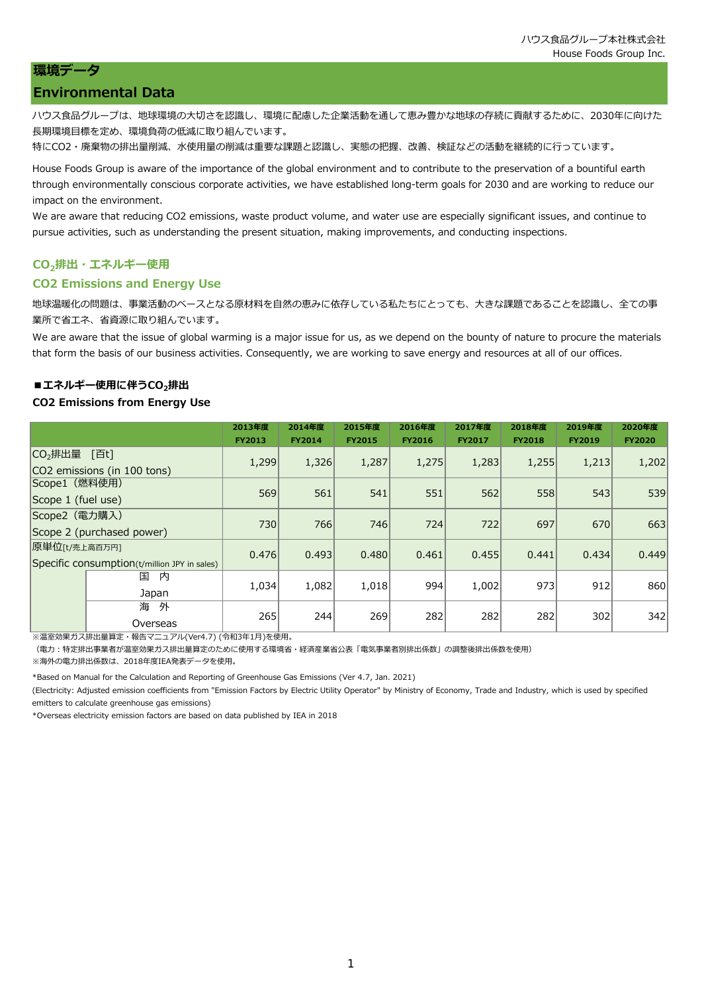# **環境データ**

# **Environmental Data**

ハウス食品グループは、地球環境の大切さを認識し、環境に配慮した企業活動を通して恵み豊かな地球の存続に貢献するために、2030年に向けた 長期環境目標を定め、環境負荷の低減に取り組んでいます。

特にCO2・廃棄物の排出量削減、水使用量の削減は重要な課題と認識し、実態の把握、改善、検証などの活動を継続的に行っています。

House Foods Group is aware of the importance of the global environment and to contribute to the preservation of a bountiful earth through environmentally conscious corporate activities, we have established long-term goals for 2030 and are working to reduce our impact on the environment.

We are aware that reducing CO2 emissions, waste product volume, and water use are especially significant issues, and continue to pursue activities, such as understanding the present situation, making improvements, and conducting inspections.

# **CO2排出・エネルギー使用**

## **CO2 Emissions and Energy Use**

地球温暖化の問題は、事業活動のベースとなる原材料を自然の恵みに依存している私たちにとっても、大きな課題であることを認識し、全ての事 業所で省エネ、省資源に取り組んでいます。

We are aware that the issue of global warming is a major issue for us, as we depend on the bounty of nature to procure the materials that form the basis of our business activities. Consequently, we are working to save energy and resources at all of our offices.

## **■エネルギー使用に伴うCO2排出**

### **CO2 Emissions from Energy Use**

|                                                                                                   |                    | 2013年度        | 2014年度        | 2015年度        | 2016年度        | 2017年度        | 2018年度        | 2019年度        | 2020年度        |
|---------------------------------------------------------------------------------------------------|--------------------|---------------|---------------|---------------|---------------|---------------|---------------|---------------|---------------|
|                                                                                                   |                    | <b>FY2013</b> | <b>FY2014</b> | <b>FY2015</b> | <b>FY2016</b> | <b>FY2017</b> | <b>FY2018</b> | <b>FY2019</b> | <b>FY2020</b> |
| CO <sub>2</sub> 排出量<br>「百t]<br>CO2 emissions (in 100 tons)<br>Scope1 (燃料使用)<br>Scope 1 (fuel use) |                    | 1,299         | 1,326         | 1,287         | 1,275         | 1,283         | 1,255         | 1,213         | 1,202         |
|                                                                                                   |                    | 569           | 561           | 541           | 551           | 562           | 558           | 543           | 539           |
| Scope2 (電力購入)<br>Scope 2 (purchased power)                                                        |                    | 730           | 766           | 746           | 724           | 722           | 697           | 670           | 663           |
| 原単位[t/売上高百万円]<br>Specific consumption(t/million JPY in sales)                                     |                    | 0.476         | 0.493         | 0.480         | 0.461         | 0.455         | 0.441         | 0.434         | 0.449         |
|                                                                                                   | 国<br>内<br>Japan    | 1,034         | 1,082         | 1,018         | 994           | 1,002         | 973           | 912           | 860           |
|                                                                                                   | 海<br>外<br>Overseas | 265           | 244           | 269           | 282           | 282           | 282           | 302           | 342           |

※温室効果ガス排出量算定・報告マニュアル(Ver4.7) (令和3年1月)を使用。

(電力:特定排出事業者が温室効果ガス排出量算定のために使用する環境省・経済産業省公表「電気事業者別排出係数」の調整後排出係数を使用)

※海外の電力排出係数は、2018年度IEA発表データを使用。

\*Based on Manual for the Calculation and Reporting of Greenhouse Gas Emissions (Ver 4.7, Jan. 2021)

(Electricity: Adjusted emission coefficients from "Emission Factors by Electric Utility Operator" by Ministry of Economy, Trade and Industry, which is used by specified emitters to calculate greenhouse gas emissions)

\*Overseas electricity emission factors are based on data published by IEA in 2018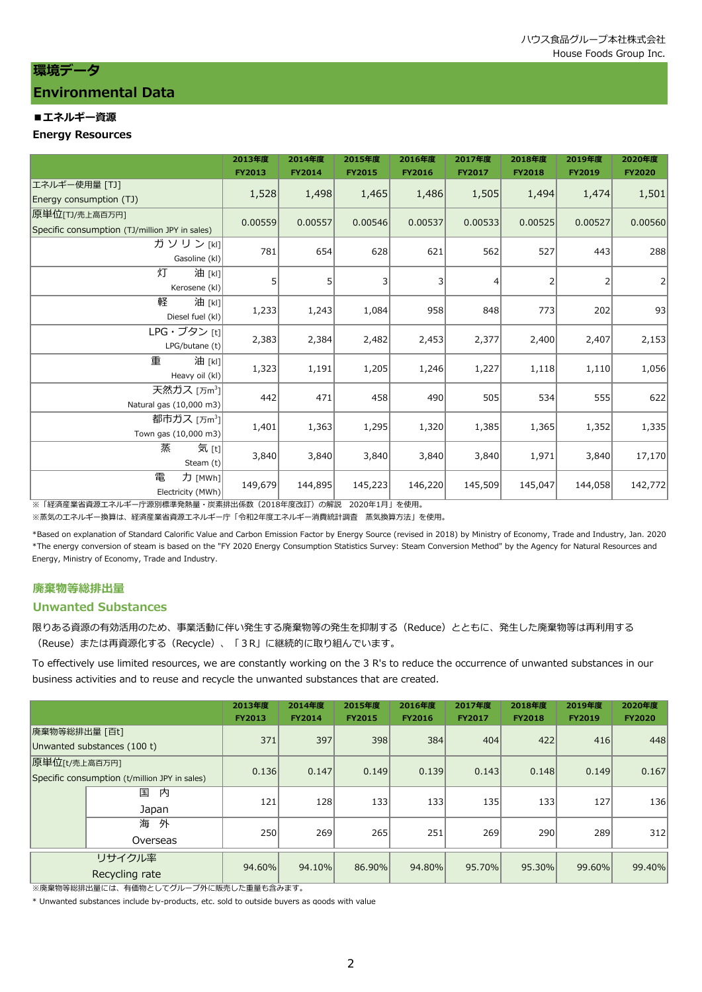# **環境データ**

# **Environmental Data**

# **■エネルギー資源**

### **Energy Resources**

|                                                | 2013年度<br><b>FY2013</b> | 2014年度<br><b>FY2014</b> | 2015年度<br><b>FY2015</b> | 2016年度<br><b>FY2016</b> | 2017年度<br><b>FY2017</b> | 2018年度<br><b>FY2018</b> | 2019年度<br><b>FY2019</b> | 2020年度<br><b>FY2020</b> |
|------------------------------------------------|-------------------------|-------------------------|-------------------------|-------------------------|-------------------------|-------------------------|-------------------------|-------------------------|
| エネルギー使用量 [TJ]                                  |                         |                         |                         |                         |                         |                         |                         |                         |
| Energy consumption (TJ)                        | 1,528                   | 1,498                   | 1,465                   | 1,486                   | 1,505                   | 1,494                   | 1,474                   | 1,501                   |
| 原単位[TJ/売上高百万円]                                 |                         |                         |                         |                         |                         |                         |                         |                         |
| Specific consumption (TJ/million JPY in sales) | 0.00559                 | 0.00557                 | 0.00546                 | 0.00537                 | 0.00533                 | 0.00525                 | 0.00527                 | 0.00560                 |
| ガソリン[kl]                                       |                         |                         |                         |                         |                         |                         |                         |                         |
| Gasoline (kl)                                  | 781                     | 654                     | 628                     | 621                     | 562                     | 527                     | 443                     | 288                     |
| 灯<br>油 [kl]                                    |                         |                         |                         |                         |                         |                         |                         |                         |
| Kerosene (kl)                                  | 5                       | 5                       | 3                       | 3                       | 4                       | $\overline{2}$          | 2                       | $\overline{2}$          |
| 軽<br>油 [kl]                                    |                         |                         |                         |                         |                         |                         |                         |                         |
| Diesel fuel (kl)                               | 1,233                   | 1,243                   | 1,084                   | 958                     | 848                     | 773                     | 202                     | 93                      |
| LPG・ブタン [t]                                    |                         |                         |                         |                         |                         |                         |                         |                         |
| LPG/butane (t)                                 | 2,383                   | 2,384                   | 2,482                   | 2,453                   | 2,377                   | 2,400                   | 2,407                   | 2,153                   |
| 重<br>油 [kl]                                    |                         |                         |                         |                         |                         |                         |                         |                         |
| Heavy oil (kl)                                 | 1,323                   | 1,191                   | 1,205                   | 1,246                   | 1,227                   | 1,118                   | 1,110                   | 1,056                   |
| 天然ガス [万m <sup>3</sup> ]                        |                         |                         |                         |                         |                         |                         |                         |                         |
| Natural gas (10,000 m3)                        | 442                     | 471                     | 458                     | 490                     | 505                     | 534                     | 555                     | 622                     |
| 都市ガス [万m <sup>3</sup> ]                        |                         |                         |                         |                         |                         |                         |                         |                         |
| Town gas (10,000 m3)                           | 1,401                   | 1,363                   | 1,295                   | 1,320                   | 1,385                   | 1,365                   | 1,352                   | 1,335                   |
| 蒸<br>気 [t]                                     |                         |                         |                         |                         |                         |                         |                         |                         |
| Steam $(t)$                                    | 3,840                   | 3,840                   | 3,840                   | 3,840                   | 3,840                   | 1,971                   | 3,840                   | 17,170                  |
| 電<br>力 [MWh]                                   |                         |                         |                         |                         |                         |                         |                         |                         |
| Electricity (MWh)                              | 149,679                 | 144,895                 | 145,223                 | 146,220                 | 145,509                 | 145,047                 | 144,058                 | 142,772                 |

-<br>※「経済産業省資源エネルギー庁源別標準発熱量・炭素排出係数(2018年度改訂)の解説 2020年1月」を使用。

※蒸気のエネルギー換算は、経済産業省資源エネルギー庁「令和2年度エネルギー消費統計調査 蒸気換算方法」を使用。

\*Based on explanation of Standard Calorific Value and Carbon Emission Factor by Energy Source (revised in 2018) by Ministry of Economy, Trade and Industry, Jan. 2020 \*The energy conversion of steam is based on the "FY 2020 Energy Consumption Statistics Survey: Steam Conversion Method" by the Agency for Natural Resources and Energy, Ministry of Economy, Trade and Industry.

# **廃棄物等総排出量**

### **Unwanted Substances**

限りある資源の有効活用のため、事業活動に伴い発生する廃棄物等の発生を抑制する(Reduce)とともに、発生した廃棄物等は再利用する (Reuse)または再資源化する(Recycle)、「3R」に継続的に取り組んでいます。

To effectively use limited resources, we are constantly working on the 3 R's to reduce the occurrence of unwanted substances in our business activities and to reuse and recycle the unwanted substances that are created.

|                                                                |                          | 2013年度<br><b>FY2013</b> | 2014年度<br><b>FY2014</b> | 2015年度<br><b>FY2015</b> | 2016年度<br><b>FY2016</b> | 2017年度<br><b>FY2017</b> | 2018年度<br><b>FY2018</b> | 2019年度<br><b>FY2019</b> | 2020年度<br><b>FY2020</b> |
|----------------------------------------------------------------|--------------------------|-------------------------|-------------------------|-------------------------|-------------------------|-------------------------|-------------------------|-------------------------|-------------------------|
| 廃棄物等総排出量 [百t]<br>Unwanted substances (100 t)                   |                          | 371                     | 397                     | 398                     | 384                     | 404                     | 422                     | 416                     | 448                     |
| 原単位[t/売上高百万円]<br>Specific consumption (t/million JPY in sales) |                          | 0.136                   | 0.147                   | 0.149                   | 0.139                   | 0.143                   | 0.148                   | 0.149                   | 0.167                   |
|                                                                | 国<br>内<br>Japan          | 121                     | 128                     | 133                     | 133                     | 135                     | 133                     | 127                     | 136                     |
|                                                                | 海<br>外<br>Overseas       | 250                     | 269                     | 265                     | 251                     | 269                     | 290                     | 289                     | 312                     |
|                                                                | リサイクル率<br>Recycling rate | 94.60%                  | 94.10%                  | 86.90%                  | 94.80%                  | 95.70%                  | 95.30%                  | 99.60%                  | 99.40%                  |

※廃棄物等総排出量には、有価物としてグループ外に販売した重量も含みます。

\* Unwanted substances include by-products, etc. sold to outside buyers as goods with value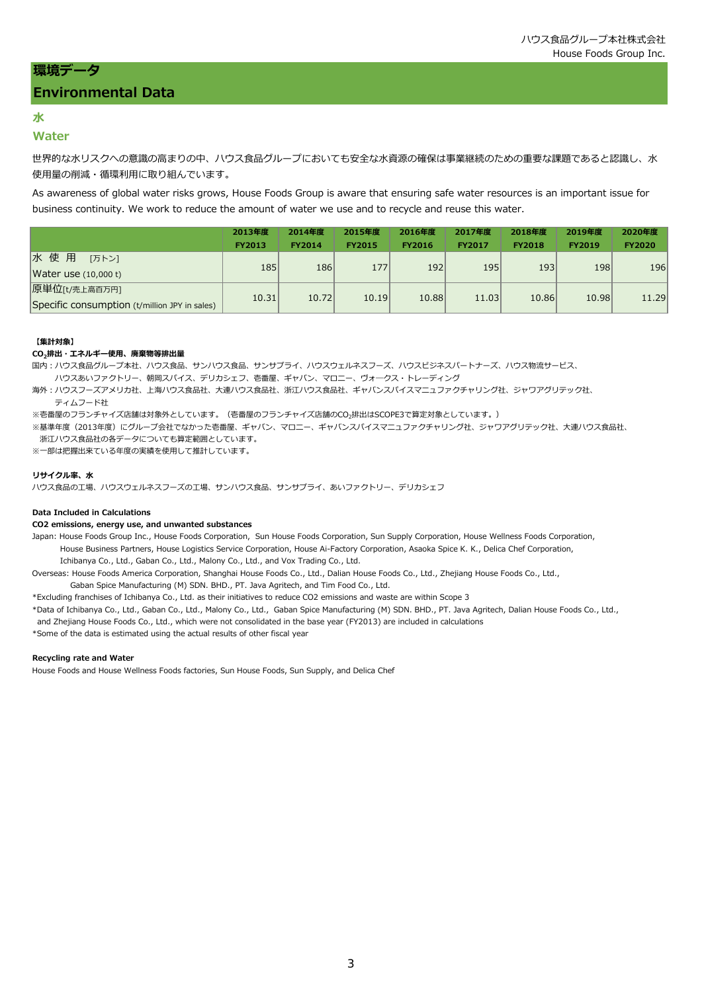# **Environmental Data**

# **水**

## **Water**

世界的な水リスクへの意識の高まりの中、ハウス食品グループにおいても安全な水資源の確保は事業継続のための重要な課題であると認識し、水 使用量の削減・循環利用に取り組んでいます。

As awareness of global water risks grows, House Foods Group is aware that ensuring safe water resources is an important issue for business continuity. We work to reduce the amount of water we use and to recycle and reuse this water.

|                                               | 2013年度        | 2014年度        | 2015年度        | 2016年度        | 2017年度        | 2018年度        | 2019年度        | 2020年度        |
|-----------------------------------------------|---------------|---------------|---------------|---------------|---------------|---------------|---------------|---------------|
|                                               | <b>FY2013</b> | <b>FY2014</b> | <b>FY2015</b> | <b>FY2016</b> | <b>FY2017</b> | <b>FY2018</b> | <b>FY2019</b> | <b>FY2020</b> |
| 水使用<br>「万トン】                                  |               | 186           |               |               |               |               |               |               |
| Water use (10,000 t)                          | 185           |               | 177           | 192           | 195           | 193           | 198           | 196           |
| 原単位[t/売上高百万円]                                 |               |               |               |               |               |               |               |               |
| Specific consumption (t/million JPY in sales) | 10.31         | 10.72         | 10.19         | 10.88         | 11.03         | 10.86         | 10.98         | 11.29         |

#### **【集計対象】**

#### **CO2排出・エネルギー使用、廃棄物等排出量**

国内:ハウス食品グループ本社、ハウス食品、サンハウス食品、サンサプライ、ハウスウェルネスフーズ、ハウスビジネスパートナーズ、ハウス物流サービス、

ハウスあいファクトリー、朝岡スパイス、デリカシェフ、壱番屋、ギャバン、マロニー、ヴォ―クス・トレーディング

海外:ハウスフーズアメリカ社、上海ハウス食品社、大連ハウス食品社、浙江ハウス食品社、ギャバンスパイスマニュファクチャリング社、ジャワアグリテック社、 ティムフード社

※壱番屋のフランチャイズ店舗は対象外としています。(壱番屋のフランチャイズ店舗のCO<sub>2</sub>排出はSCOPE3で算定対象としています。)

※基準年度(2013年度)にグループ会社でなかった壱番屋、ギャバン、マロニー、ギャバンスパイスマニュファクチャリング社、ジャワアグリテック社、大連ハウス食品社、 浙江ハウス食品社の各データについても算定範囲としています。

※一部は把握出来ている年度の実績を使用して推計しています。

#### **リサイクル率、水**

ハウス食品の工場、ハウスウェルネスフーズの工場、サンハウス食品、サンサプライ、あいファクトリー、デリカシェフ

#### **Data Included in Calculations**

#### **CO2 emissions, energy use, and unwanted substances**

Japan: House Foods Group Inc., House Foods Corporation, Sun House Foods Corporation, Sun Supply Corporation, House Wellness Foods Corporation, House Business Partners, House Logistics Service Corporation, House Ai-Factory Corporation, Asaoka Spice K. K., Delica Chef Corporation, Ichibanya Co., Ltd., Gaban Co., Ltd., Malony Co., Ltd., and Vox Trading Co., Ltd.

- Overseas: House Foods America Corporation, Shanghai House Foods Co., Ltd., Dalian House Foods Co., Ltd., Zhejiang House Foods Co., Ltd.,
	- Gaban Spice Manufacturing (M) SDN. BHD., PT. Java Agritech, and Tim Food Co., Ltd.

\*Excluding franchises of Ichibanya Co., Ltd. as their initiatives to reduce CO2 emissions and waste are within Scope 3

- \*Data of Ichibanya Co., Ltd., Gaban Co., Ltd., Malony Co., Ltd., Gaban Spice Manufacturing (M) SDN. BHD., PT. Java Agritech, Dalian House Foods Co., Ltd.,
- and Zhejiang House Foods Co., Ltd., which were not consolidated in the base year (FY2013) are included in calculations

\*Some of the data is estimated using the actual results of other fiscal year

#### **Recycling rate and Water**

House Foods and House Wellness Foods factories, Sun House Foods, Sun Supply, and Delica Chef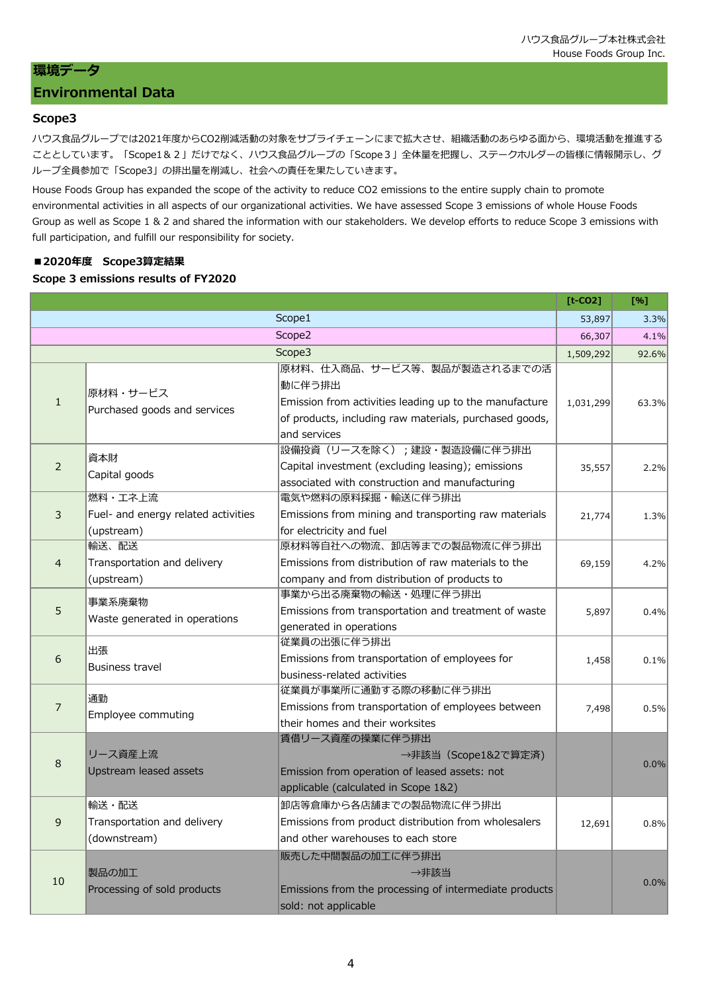# **環境データ**

# **Environmental Data**

# **Scope3**

ハウス食品グループでは2021年度からCO2削減活動の対象をサプライチェーンにまで拡大させ、組織活動のあらゆる面から、環境活動を推進する こととしています。「Scope1&2」だけでなく、ハウス食品グループの「Scope3」全体量を把握し、ステークホルダーの皆様に情報開示し、グ ループ全員参加で「Scope3」の排出量を削減し、社会への責任を果たしていきます。

House Foods Group has expanded the scope of the activity to reduce CO2 emissions to the entire supply chain to promote environmental activities in all aspects of our organizational activities. We have assessed Scope 3 emissions of whole House Foods Group as well as Scope 1 & 2 and shared the information with our stakeholders. We develop efforts to reduce Scope 3 emissions with full participation, and fulfill our responsibility for society.

# **■2020年度 Scope3算定結果**

# **Scope 3 emissions results of FY2020**

|                  |                                                   |                                                                                                                                  | $[t-CO2]$ | [%]     |
|------------------|---------------------------------------------------|----------------------------------------------------------------------------------------------------------------------------------|-----------|---------|
|                  |                                                   | Scope1                                                                                                                           | 53,897    | 3.3%    |
|                  |                                                   | Scope2                                                                                                                           | 66,307    | 4.1%    |
|                  |                                                   | Scope3                                                                                                                           | 1,509,292 | 92.6%   |
|                  | 原材料・サービス                                          | 原材料、仕入商品、サービス等、製品が製造されるまでの活<br>動に伴う排出                                                                                            |           |         |
| $\mathbf{1}$     | Purchased goods and services                      | Emission from activities leading up to the manufacture<br>of products, including raw materials, purchased goods,<br>and services | 1,031,299 | 63.3%   |
|                  |                                                   | 設備投資(リースを除く);建設・製造設備に伴う排出                                                                                                        |           |         |
| $\overline{2}$   | 資本財<br>Capital goods                              | Capital investment (excluding leasing); emissions<br>associated with construction and manufacturing                              | 35,557    | 2.2%    |
|                  | 燃料・工ネ上流                                           | 電気や燃料の原料採掘・輸送に伴う排出                                                                                                               |           |         |
| 3                | Fuel- and energy related activities<br>(upstream) | Emissions from mining and transporting raw materials<br>for electricity and fuel                                                 | 21,774    | 1.3%    |
|                  | 輸送、配送                                             | 原材料等自社への物流、卸店等までの製品物流に伴う排出                                                                                                       |           |         |
| $\overline{4}$   | Transportation and delivery                       | Emissions from distribution of raw materials to the                                                                              | 69,159    | 4.2%    |
|                  | (upstream)                                        | company and from distribution of products to                                                                                     |           |         |
|                  | 事業系廃棄物<br>Waste generated in operations           | 事業から出る廃棄物の輸送・処理に伴う排出                                                                                                             |           |         |
| 5                |                                                   | Emissions from transportation and treatment of waste                                                                             | 5,897     | 0.4%    |
|                  |                                                   | generated in operations                                                                                                          |           |         |
|                  | 出張<br><b>Business travel</b>                      | 従業員の出張に伴う排出                                                                                                                      |           |         |
| $\boldsymbol{6}$ |                                                   | Emissions from transportation of employees for                                                                                   | 1,458     | 0.1%    |
|                  |                                                   | business-related activities                                                                                                      |           |         |
|                  | 通勤                                                | 従業員が事業所に通勤する際の移動に伴う排出                                                                                                            |           |         |
| $\overline{7}$   | Employee commuting                                | Emissions from transportation of employees between                                                                               | 7,498     | 0.5%    |
|                  |                                                   | their homes and their worksites<br>賃借リース資産の操業に伴う排出                                                                               |           |         |
|                  | リース資産上流                                           | →非該当 (Scope1&2で算定済)                                                                                                              |           |         |
| 8                | Upstream leased assets                            | Emission from operation of leased assets: not                                                                                    |           | 0.0%    |
|                  |                                                   | applicable (calculated in Scope 1&2)                                                                                             |           |         |
|                  | 輸送・配送                                             | 卸店等倉庫から各店舗までの製品物流に伴う排出                                                                                                           |           |         |
|                  | Transportation and delivery                       | Emissions from product distribution from wholesalers                                                                             |           |         |
| 9                | (downstream)                                      | and other warehouses to each store                                                                                               | 12,691    | 0.8%    |
|                  |                                                   | 販売した中間製品の加工に伴う排出                                                                                                                 |           |         |
| 10               | 製品の加工                                             | →非該当                                                                                                                             |           |         |
|                  | Processing of sold products                       | Emissions from the processing of intermediate products                                                                           |           | $0.0\%$ |
|                  |                                                   | sold: not applicable                                                                                                             |           |         |
|                  |                                                   |                                                                                                                                  |           |         |